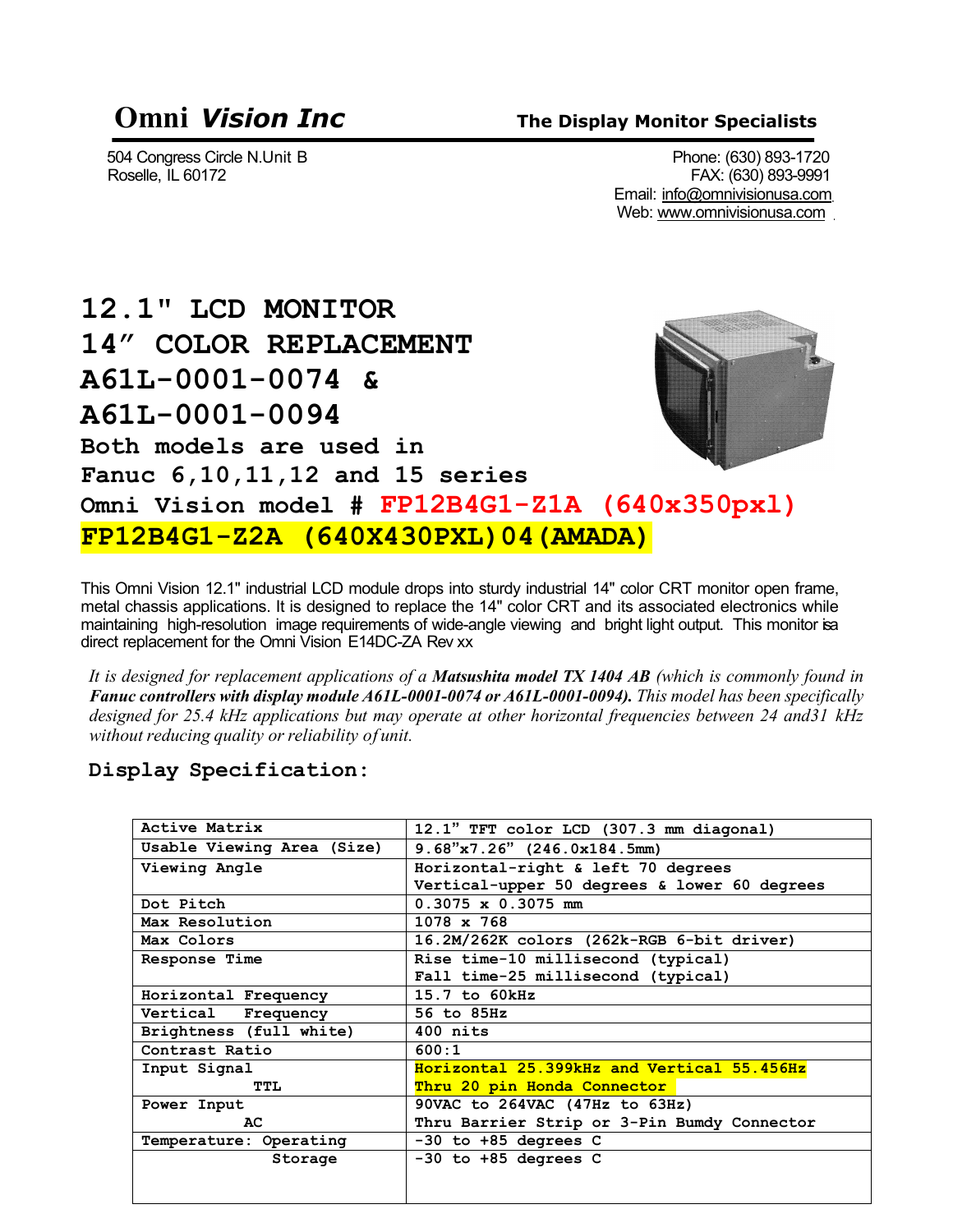### **Omni** *Vision Inc* **The Display Monitor Specialists**

504 Congress Circle N.Unit B<br>Roselle, IL 60172 Phone: (630) 893-1720 FAX: (630) 893-9991 Email: [info@omnivisionusa.com](mailto:info@omnivisionusa.com) Web: [www.omnivisionusa.com](http://www.omnivisionusa.com/)

**12.1" LCD MONITOR 14" COLOR REPLACEMENT A61L-0001-0074 & A61L-0001-0094 Both models are used in Fanuc 6,10,11,12 and 15 series Omni Vision model # FP12B4G1-Z1A (640x350pxl) FP12B4G1-Z2A (640X430PXL)04(AMADA)**

This Omni Vision 12.1" industrial LCD module drops into sturdy industrial 14" color CRT monitor open frame, metal chassis applications. It is designed to replace the 14" color CRT and its associated electronics while maintaining high-resolution image requirements of wide-angle viewing and bright light output. This monitor isa direct replacement for the Omni Vision E14DC-ZA Rev xx

*It is designed for replacement applications of a Matsushita model TX 1404 AB (which is commonly found in Fanuc controllers with display module A61L-0001-0074 or A61L-0001-0094). This model has been specifically designed for 25.4 kHz applications but may operate at other horizontal frequencies between 24 and31 kHz without reducing quality or reliability of unit.*

**Display Specification:**

| Active Matrix              | 12.1" TFT color LCD (307.3 mm diagonal)      |
|----------------------------|----------------------------------------------|
| Usable Viewing Area (Size) | $9.68$ "x7.26" (246.0x184.5mm)               |
| Viewing Angle              | Horizontal-right & left 70 degrees           |
|                            | Vertical-upper 50 degrees & lower 60 degrees |
| Dot Pitch                  | $0.3075 \times 0.3075$ mm                    |
| Max Resolution             | $1078 \times 768$                            |
| Max Colors                 | 16.2M/262K colors (262k-RGB 6-bit driver)    |
| Response Time              | Rise time-10 millisecond (typical)           |
|                            | Fall time-25 millisecond (typical)           |
| Horizontal Frequency       | $15.7$ to $60kHz$                            |
| Vertical Frequency         | 56 to 85Hz                                   |
| Brightness (full white)    | $400$ nits                                   |
| Contrast Ratio             | 600:1                                        |
| Input Signal               | Horizontal 25.399kHz and Vertical 55.456Hz   |
| TTL.                       | Thru 20 pin Honda Connector                  |
| Power Input                | 90VAC to 264VAC (47Hz to 63Hz)               |
| AC.                        | Thru Barrier Strip or 3-Pin Bumdy Connector  |
| Temperature: Operating     | $-30$ to $+85$ degrees C                     |
| Storage                    | $-30$ to $+85$ degrees C                     |
|                            |                                              |
|                            |                                              |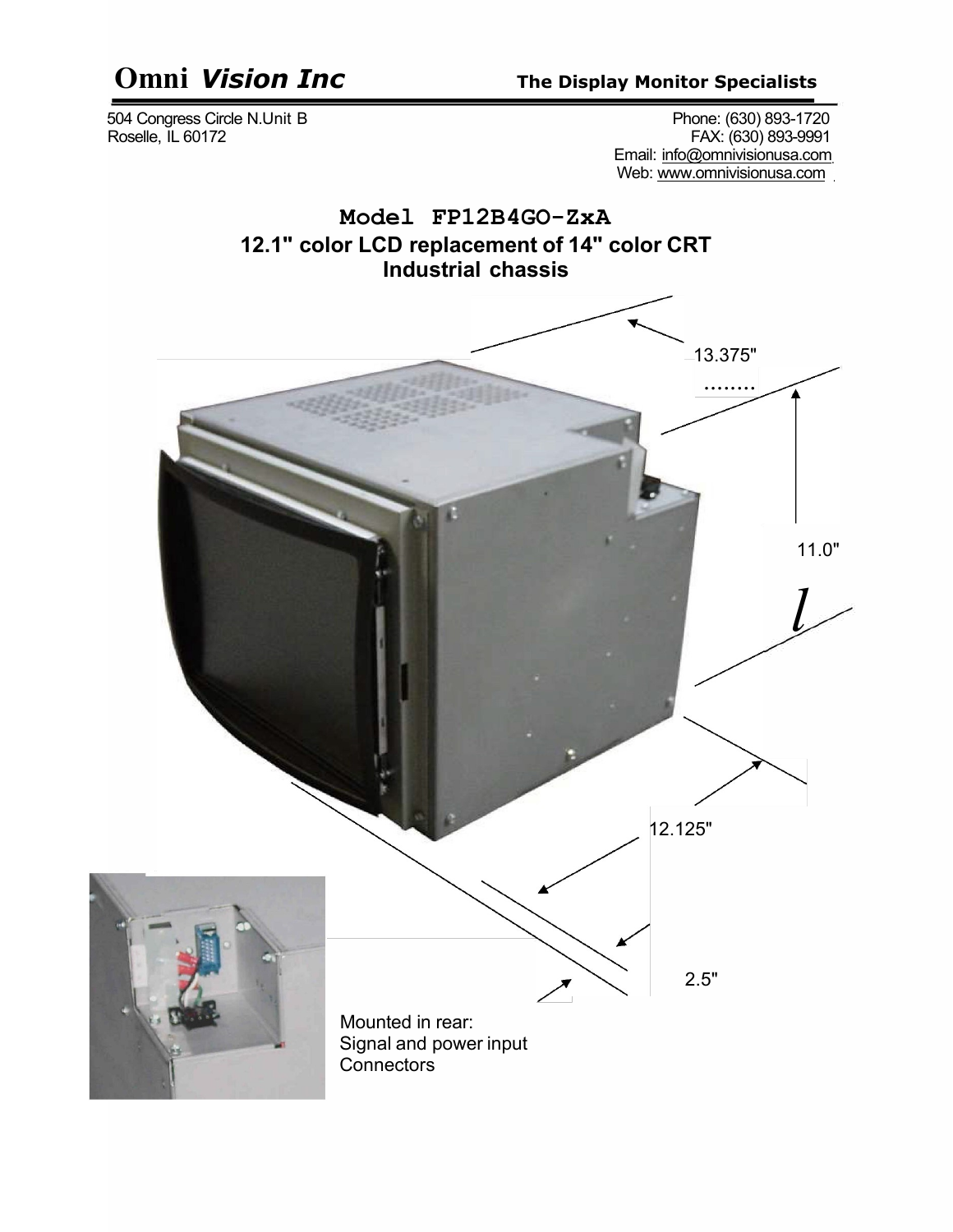# **Omni** *Vision Inc* **The Display Monitor Specialists**

 504 Congress Circle N.Unit B Phone: (630) 893-1720 Roselle, IL 60172 FAX: (630) 893-9991 Email: [info@omnivisionusa.com](mailto:info@omnivisionusa.com) Web: [www.omnivisionusa.com](http://www.omnivisionusa.com/)